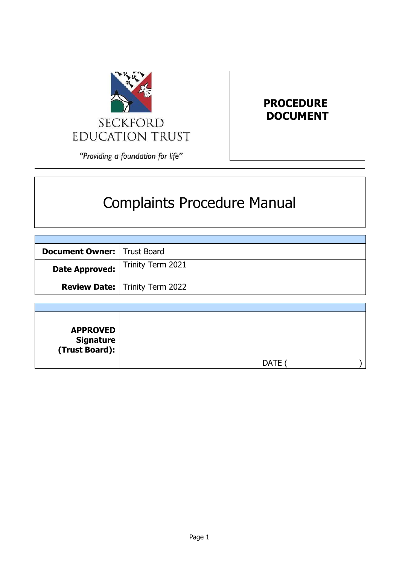

# **PROCEDURE DOCUMENT**

"Providing a foundation for life"

# Complaints Procedure Manual

| <b>Document Owner:</b>   Trust Board |                                         |
|--------------------------------------|-----------------------------------------|
| Date Approved:                       | Trinity Term 2021                       |
|                                      | <b>Review Date:   Trinity Term 2022</b> |

| <b>APPROVED</b><br>  Signature<br>  (Trust Board): |             |  |
|----------------------------------------------------|-------------|--|
|                                                    | <b>DATE</b> |  |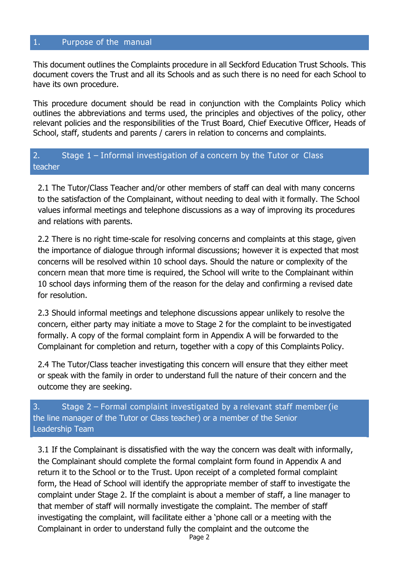#### 1. Purpose of the manual

This document outlines the Complaints procedure in all Seckford Education Trust Schools. This document covers the Trust and all its Schools and as such there is no need for each School to have its own procedure.

This procedure document should be read in conjunction with the Complaints Policy which outlines the abbreviations and terms used, the principles and objectives of the policy, other relevant policies and the responsibilities of the Trust Board, Chief Executive Officer, Heads of School, staff, students and parents / carers in relation to concerns and complaints.

#### teacher 2. Stage 1 – Informal investigation of a concern by the Tutor or Class

2.1 The Tutor/Class Teacher and/or other members of staff can deal with many concerns to the satisfaction of the Complainant, without needing to deal with it formally. The School values informal meetings and telephone discussions as a way of improving its procedures and relations with parents.

2.2 There is no right time-scale for resolving concerns and complaints at this stage, given the importance of dialogue through informal discussions; however it is expected that most concerns will be resolved within 10 school days. Should the nature or complexity of the concern mean that more time is required, the School will write to the Complainant within 10 school days informing them of the reason for the delay and confirming a revised date for resolution.

2.3 Should informal meetings and telephone discussions appear unlikely to resolve the concern, either party may initiate a move to Stage 2 for the complaint to be investigated formally. A copy of the formal complaint form in Appendix A will be forwarded to the Complainant for completion and return, together with a copy of this Complaints Policy.

2.4 The Tutor/Class teacher investigating this concern will ensure that they either meet or speak with the family in order to understand full the nature of their concern and the outcome they are seeking.

# the line manager of the Tutor or Class teacher) or a member of the Senior Leadership Team 3. Stage 2 – Formal complaint investigated by a relevant staff member (ie

3.1 If the Complainant is dissatisfied with the way the concern was dealt with informally, the Complainant should complete the formal complaint form found in Appendix A and return it to the School or to the Trust. Upon receipt of a completed formal complaint form, the Head of School will identify the appropriate member of staff to investigate the complaint under Stage 2. If the complaint is about a member of staff, a line manager to that member of staff will normally investigate the complaint. The member of staff investigating the complaint, will facilitate either a 'phone call or a meeting with the Complainant in order to understand fully the complaint and the outcome the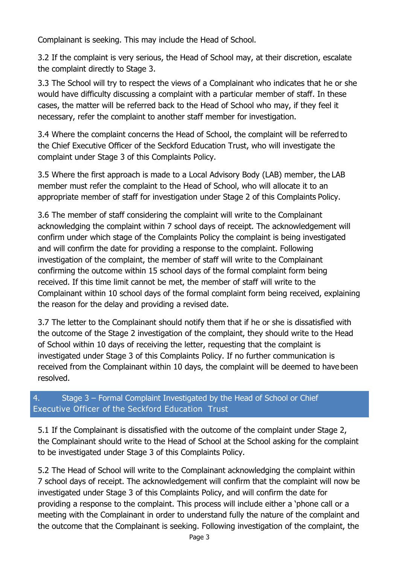Complainant is seeking. This may include the Head of School.

3.2 If the complaint is very serious, the Head of School may, at their discretion, escalate the complaint directly to Stage 3.

3.3 The School will try to respect the views of a Complainant who indicates that he or she would have difficulty discussing a complaint with a particular member of staff. In these cases, the matter will be referred back to the Head of School who may, if they feel it necessary, refer the complaint to another staff member for investigation.

3.4 Where the complaint concerns the Head of School, the complaint will be referred to the Chief Executive Officer of the Seckford Education Trust, who will investigate the complaint under Stage 3 of this Complaints Policy.

3.5 Where the first approach is made to a Local Advisory Body (LAB) member, the LAB member must refer the complaint to the Head of School, who will allocate it to an appropriate member of staff for investigation under Stage 2 of this Complaints Policy.

3.6 The member of staff considering the complaint will write to the Complainant acknowledging the complaint within 7 school days of receipt. The acknowledgement will confirm under which stage of the Complaints Policy the complaint is being investigated and will confirm the date for providing a response to the complaint. Following investigation of the complaint, the member of staff will write to the Complainant confirming the outcome within 15 school days of the formal complaint form being received. If this time limit cannot be met, the member of staff will write to the Complainant within 10 school days of the formal complaint form being received, explaining the reason for the delay and providing a revised date.

3.7 The letter to the Complainant should notify them that if he or she is dissatisfied with the outcome of the Stage 2 investigation of the complaint, they should write to the Head of School within 10 days of receiving the letter, requesting that the complaint is investigated under Stage 3 of this Complaints Policy. If no further communication is received from the Complainant within 10 days, the complaint will be deemed to have been resolved.

# Executive Officer of the Seckford Education Trust 4. Stage 3 – Formal Complaint Investigated by the Head of School or Chief

5.1 If the Complainant is dissatisfied with the outcome of the complaint under Stage 2, the Complainant should write to the Head of School at the School asking for the complaint to be investigated under Stage 3 of this Complaints Policy.

5.2 The Head of School will write to the Complainant acknowledging the complaint within 7 school days of receipt. The acknowledgement will confirm that the complaint will now be investigated under Stage 3 of this Complaints Policy, and will confirm the date for providing a response to the complaint. This process will include either a 'phone call or a meeting with the Complainant in order to understand fully the nature of the complaint and the outcome that the Complainant is seeking. Following investigation of the complaint, the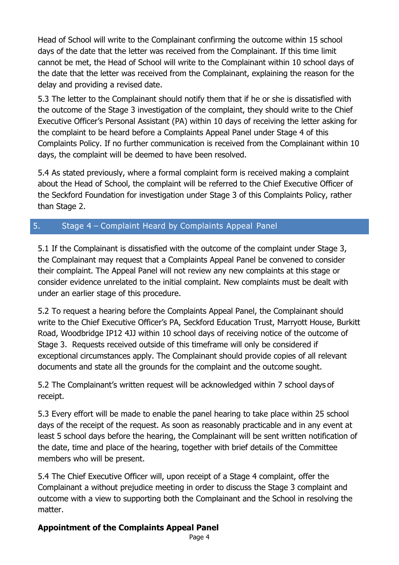Head of School will write to the Complainant confirming the outcome within 15 school days of the date that the letter was received from the Complainant. If this time limit cannot be met, the Head of School will write to the Complainant within 10 school days of the date that the letter was received from the Complainant, explaining the reason for the delay and providing a revised date.

5.3 The letter to the Complainant should notify them that if he or she is dissatisfied with the outcome of the Stage 3 investigation of the complaint, they should write to the Chief Executive Officer's Personal Assistant (PA) within 10 days of receiving the letter asking for the complaint to be heard before a Complaints Appeal Panel under Stage 4 of this Complaints Policy. If no further communication is received from the Complainant within 10 days, the complaint will be deemed to have been resolved.

5.4 As stated previously, where a formal complaint form is received making a complaint about the Head of School, the complaint will be referred to the Chief Executive Officer of the Seckford Foundation for investigation under Stage 3 of this Complaints Policy, rather than Stage 2.

# 5. Stage 4 – Complaint Heard by Complaints Appeal Panel

5.1 If the Complainant is dissatisfied with the outcome of the complaint under Stage 3, the Complainant may request that a Complaints Appeal Panel be convened to consider their complaint. The Appeal Panel will not review any new complaints at this stage or consider evidence unrelated to the initial complaint. New complaints must be dealt with under an earlier stage of this procedure.

5.2 To request a hearing before the Complaints Appeal Panel, the Complainant should write to the Chief Executive Officer's PA, Seckford Education Trust, Marryott House, Burkitt Road, Woodbridge IP12 4JJ within 10 school days of receiving notice of the outcome of Stage 3. Requests received outside of this timeframe will only be considered if exceptional circumstances apply. The Complainant should provide copies of all relevant documents and state all the grounds for the complaint and the outcome sought.

5.2 The Complainant's written request will be acknowledged within 7 school days of receipt.

5.3 Every effort will be made to enable the panel hearing to take place within 25 school days of the receipt of the request. As soon as reasonably practicable and in any event at least 5 school days before the hearing, the Complainant will be sent written notification of the date, time and place of the hearing, together with brief details of the Committee members who will be present.

5.4 The Chief Executive Officer will, upon receipt of a Stage 4 complaint, offer the Complainant a without prejudice meeting in order to discuss the Stage 3 complaint and outcome with a view to supporting both the Complainant and the School in resolving the matter.

# **Appointment of the Complaints Appeal Panel**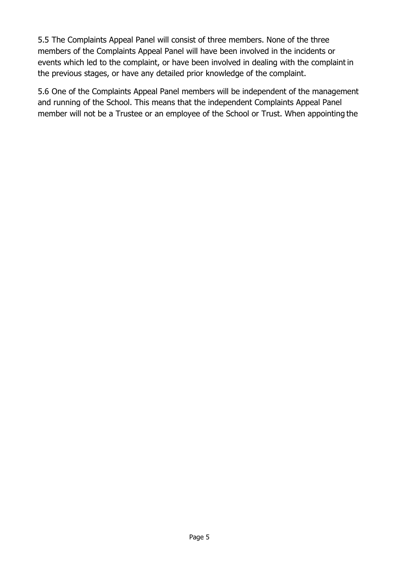5.5 The Complaints Appeal Panel will consist of three members. None of the three members of the Complaints Appeal Panel will have been involved in the incidents or events which led to the complaint, or have been involved in dealing with the complaint in the previous stages, or have any detailed prior knowledge of the complaint.

5.6 One of the Complaints Appeal Panel members will be independent of the management and running of the School. This means that the independent Complaints Appeal Panel member will not be a Trustee or an employee of the School or Trust. When appointing the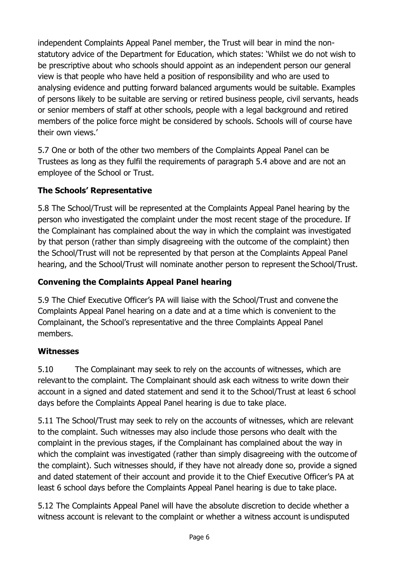independent Complaints Appeal Panel member, the Trust will bear in mind the nonstatutory advice of the Department for Education, which states: 'Whilst we do not wish to be prescriptive about who schools should appoint as an independent person our general view is that people who have held a position of responsibility and who are used to analysing evidence and putting forward balanced arguments would be suitable. Examples of persons likely to be suitable are serving or retired business people, civil servants, heads or senior members of staff at other schools, people with a legal background and retired members of the police force might be considered by schools. Schools will of course have their own views.'

5.7 One or both of the other two members of the Complaints Appeal Panel can be Trustees as long as they fulfil the requirements of paragraph 5.4 above and are not an employee of the School or Trust.

# **The Schools' Representative**

5.8 The School/Trust will be represented at the Complaints Appeal Panel hearing by the person who investigated the complaint under the most recent stage of the procedure. If the Complainant has complained about the way in which the complaint was investigated by that person (rather than simply disagreeing with the outcome of the complaint) then the School/Trust will not be represented by that person at the Complaints Appeal Panel hearing, and the School/Trust will nominate another person to represent the School/Trust.

# **Convening the Complaints Appeal Panel hearing**

5.9 The Chief Executive Officer's PA will liaise with the School/Trust and convene the Complaints Appeal Panel hearing on a date and at a time which is convenient to the Complainant, the School's representative and the three Complaints Appeal Panel members.

#### **Witnesses**

5.10 The Complainant may seek to rely on the accounts of witnesses, which are relevantto the complaint. The Complainant should ask each witness to write down their account in a signed and dated statement and send it to the School/Trust at least 6 school days before the Complaints Appeal Panel hearing is due to take place.

5.11 The School/Trust may seek to rely on the accounts of witnesses, which are relevant to the complaint. Such witnesses may also include those persons who dealt with the complaint in the previous stages, if the Complainant has complained about the way in which the complaint was investigated (rather than simply disagreeing with the outcome of the complaint). Such witnesses should, if they have not already done so, provide a signed and dated statement of their account and provide it to the Chief Executive Officer's PA at least 6 school days before the Complaints Appeal Panel hearing is due to take place.

5.12 The Complaints Appeal Panel will have the absolute discretion to decide whether a witness account is relevant to the complaint or whether a witness account is undisputed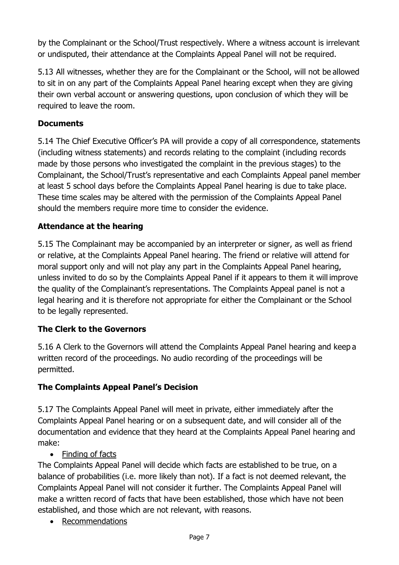by the Complainant or the School/Trust respectively. Where a witness account is irrelevant or undisputed, their attendance at the Complaints Appeal Panel will not be required.

5.13 All witnesses, whether they are for the Complainant or the School, will not be allowed to sit in on any part of the Complaints Appeal Panel hearing except when they are giving their own verbal account or answering questions, upon conclusion of which they will be required to leave the room.

# **Documents**

5.14 The Chief Executive Officer's PA will provide a copy of all correspondence, statements (including witness statements) and records relating to the complaint (including records made by those persons who investigated the complaint in the previous stages) to the Complainant, the School/Trust's representative and each Complaints Appeal panel member at least 5 school days before the Complaints Appeal Panel hearing is due to take place. These time scales may be altered with the permission of the Complaints Appeal Panel should the members require more time to consider the evidence.

# **Attendance at the hearing**

5.15 The Complainant may be accompanied by an interpreter or signer, as well as friend or relative, at the Complaints Appeal Panel hearing. The friend or relative will attend for moral support only and will not play any part in the Complaints Appeal Panel hearing, unless invited to do so by the Complaints Appeal Panel if it appears to them it will improve the quality of the Complainant's representations. The Complaints Appeal panel is not a legal hearing and it is therefore not appropriate for either the Complainant or the School to be legally represented.

#### **The Clerk to the Governors**

5.16 A Clerk to the Governors will attend the Complaints Appeal Panel hearing and keep a written record of the proceedings. No audio recording of the proceedings will be permitted.

#### **The Complaints Appeal Panel's Decision**

5.17 The Complaints Appeal Panel will meet in private, either immediately after the Complaints Appeal Panel hearing or on a subsequent date, and will consider all of the documentation and evidence that they heard at the Complaints Appeal Panel hearing and make:

• Finding of facts

The Complaints Appeal Panel will decide which facts are established to be true, on a balance of probabilities (i.e. more likely than not). If a fact is not deemed relevant, the Complaints Appeal Panel will not consider it further. The Complaints Appeal Panel will make a written record of facts that have been established, those which have not been established, and those which are not relevant, with reasons.

• Recommendations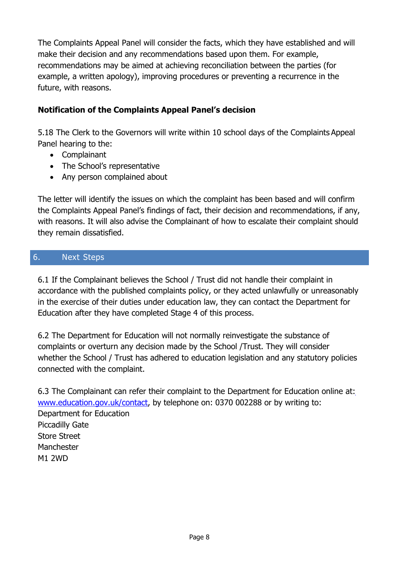The Complaints Appeal Panel will consider the facts, which they have established and will make their decision and any recommendations based upon them. For example, recommendations may be aimed at achieving reconciliation between the parties (for example, a written apology), improving procedures or preventing a recurrence in the future, with reasons.

# **Notification of the Complaints Appeal Panel's decision**

5.18 The Clerk to the Governors will write within 10 school days of the Complaints Appeal Panel hearing to the:

- Complainant
- The School's representative
- Any person complained about

The letter will identify the issues on which the complaint has been based and will confirm the Complaints Appeal Panel's findings of fact, their decision and recommendations, if any, with reasons. It will also advise the Complainant of how to escalate their complaint should they remain dissatisfied.

# 6. Next Steps

6.1 If the Complainant believes the School / Trust did not handle their complaint in accordance with the published complaints policy, or they acted unlawfully or unreasonably in the exercise of their duties under education law, they can contact the Department for Education after they have completed Stage 4 of this process.

6.2 The Department for Education will not normally reinvestigate the substance of complaints or overturn any decision made by the School /Trust. They will consider whether the School / Trust has adhered to education legislation and any statutory policies connected with the complaint.

6.3 The Complainant can refer their complaint to the Department for Education online at: [www.education.gov.uk/contact,](http://www.education.gov.uk/contact) by telephone on: 0370 002288 or by writing to: Department for Education Piccadilly Gate Store Street **Manchester** M1 2WD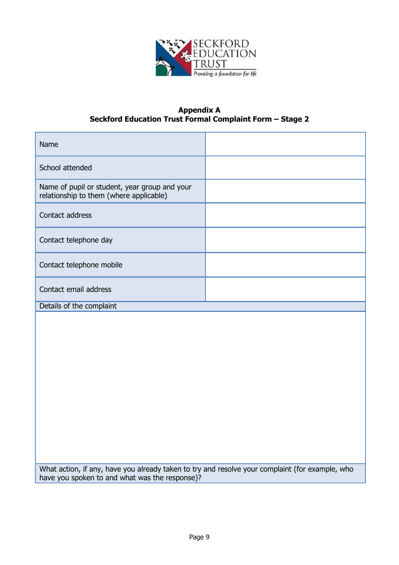

#### **Appendix A Seckford Education Trust Formal Complaint Form – Stage 2**

| Name                                                                                     |  |
|------------------------------------------------------------------------------------------|--|
| School attended                                                                          |  |
| Name of pupil or student, year group and your<br>relationship to them (where applicable) |  |
| Contact address                                                                          |  |
| Contact telephone day                                                                    |  |
| Contact telephone mobile                                                                 |  |
| Contact email address                                                                    |  |
| Details of the complaint                                                                 |  |
|                                                                                          |  |

What action, if any, have you already taken to try and resolve your complaint (for example, who have you spoken to and what was the response)?